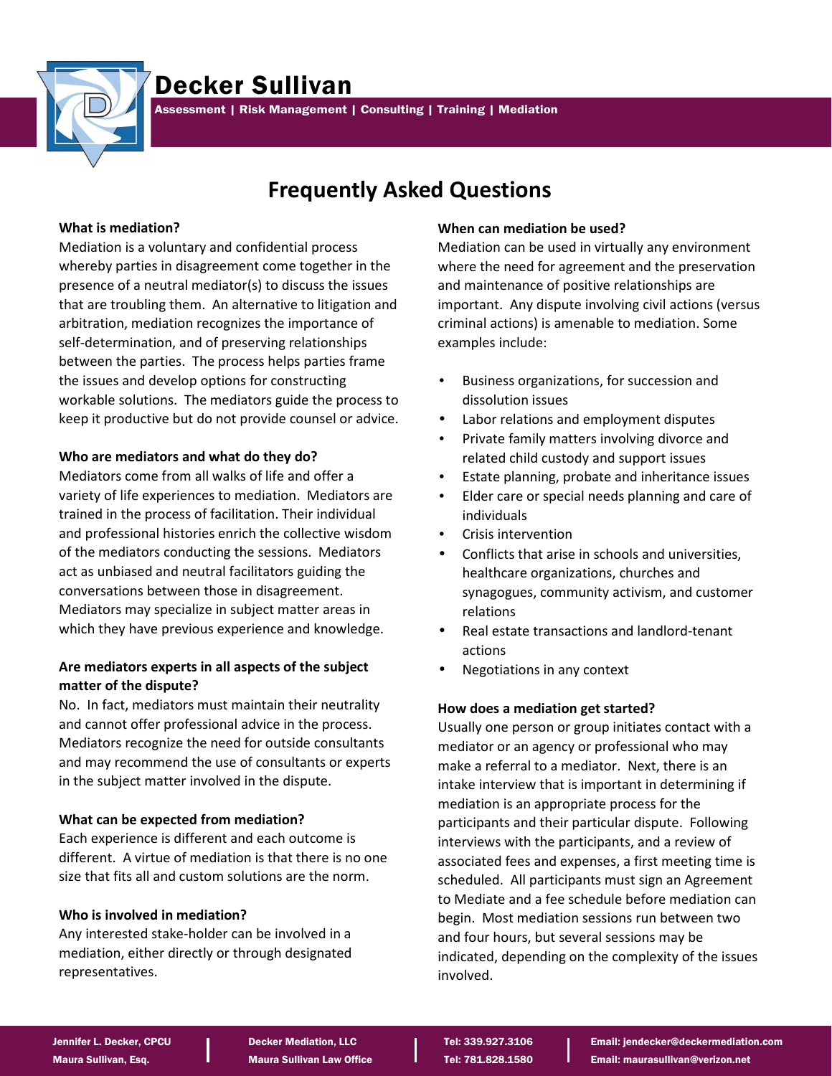

# Decker Sullivan

Assessment | Risk Management | Consulting | Training | Mediation

## **Frequently Asked Questions**

#### **What is mediation?**

Mediation is a voluntary and confidential process whereby parties in disagreement come together in the presence of a neutral mediator(s) to discuss the issues that are troubling them. An alternative to litigation and arbitration, mediation recognizes the importance of self-determination, and of preserving relationships between the parties. The process helps parties frame the issues and develop options for constructing workable solutions. The mediators guide the process to keep it productive but do not provide counsel or advice.

## **Who are mediators and what do they do?**

Mediators come from all walks of life and offer a variety of life experiences to mediation. Mediators are trained in the process of facilitation. Their individual and professional histories enrich the collective wisdom of the mediators conducting the sessions. Mediators act as unbiased and neutral facilitators guiding the conversations between those in disagreement. Mediators may specialize in subject matter areas in which they have previous experience and knowledge.

## **Are mediators experts in all aspects of the subject matter of the dispute?**

No. In fact, mediators must maintain their neutrality and cannot offer professional advice in the process. Mediators recognize the need for outside consultants and may recommend the use of consultants or experts in the subject matter involved in the dispute.

## **What can be expected from mediation?**

Each experience is different and each outcome is different. A virtue of mediation is that there is no one size that fits all and custom solutions are the norm.

## **Who is involved in mediation?**

Any interested stake-holder can be involved in a mediation, either directly or through designated representatives.

#### **When can mediation be used?**

Mediation can be used in virtually any environment where the need for agreement and the preservation and maintenance of positive relationships are important. Any dispute involving civil actions (versus criminal actions) is amenable to mediation. Some examples include:

- Business organizations, for succession and dissolution issues
- Labor relations and employment disputes
- Private family matters involving divorce and related child custody and support issues
- Estate planning, probate and inheritance issues
- Elder care or special needs planning and care of individuals
- Crisis intervention
- Conflicts that arise in schools and universities, healthcare organizations, churches and synagogues, community activism, and customer relations
- Real estate transactions and landlord-tenant actions
- Negotiations in any context

#### **How does a mediation get started?**

Usually one person or group initiates contact with a mediator or an agency or professional who may make a referral to a mediator. Next, there is an intake interview that is important in determining if mediation is an appropriate process for the participants and their particular dispute. Following interviews with the participants, and a review of associated fees and expenses, a first meeting time is scheduled. All participants must sign an Agreement to Mediate and a fee schedule before mediation can begin. Most mediation sessions run between two and four hours, but several sessions may be indicated, depending on the complexity of the issues involved.

Jennifer L. Decker, CPCU **Decker Mediation, LLC Decker Algebrary Constant Constant Constant** Email: jendecker@deckermediation.com Maura Sullivan, Esq. Naura Sullivan Law Office Tel: 781.828.1580 **Email: maurasullivan@verizon.net**